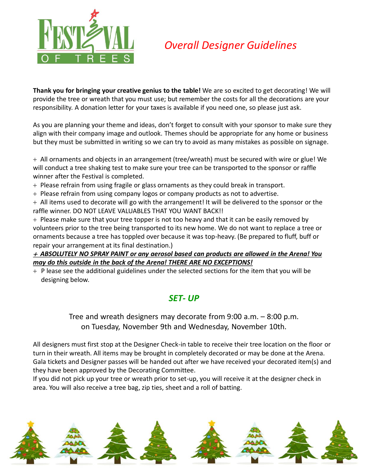

# *Overall Designer Guidelines*

**Thank you for bringing your creative genius to the table!** We are so excited to get decorating! We will provide the tree or wreath that you must use; but remember the costs for all the decorations are your responsibility. A donation letter for your taxes is available if you need one, so please just ask.

As you are planning your theme and ideas, don't forget to consult with your sponsor to make sure they align with their company image and outlook. Themes should be appropriate for any home or business but they must be submitted in writing so we can try to avoid as many mistakes as possible on signage.

 All ornaments and objects in an arrangement (tree/wreath) must be secured with wire or glue! We will conduct a tree shaking test to make sure your tree can be transported to the sponsor or raffle winner after the Festival is completed.

+ Please refrain from using fragile or glass ornaments as they could break in transport.

+ Please refrain from using company logos or company products as not to advertise.

 All items used to decorate will go with the arrangement! It will be delivered to the sponsor or the raffle winner. DO NOT LEAVE VALUABLES THAT YOU WANT BACK!!

 $+$  Please make sure that your tree topper is not too heavy and that it can be easily removed by volunteers prior to the tree being transported to its new home. We do not want to replace a tree or ornaments because a tree has toppled over because it was top-heavy. (Be prepared to fluff, buff or repair your arrangement at its final destination.)

#### *ABSOLUTELY NO SPRAY PAINT or any aerosol based can products are allowed in the Arena! You may do this outside in the back of the Arena! THERE ARE NO EXCEPTIONS!*

 $+$  P lease see the additional guidelines under the selected sections for the item that you will be designing below.

## *SET- UP*

Tree and wreath designers may decorate from 9:00 a.m. – 8:00 p.m. on Tuesday, November 9th and Wednesday, November 10th.

All designers must first stop at the Designer Check-in table to receive their tree location on the floor or turn in their wreath. All items may be brought in completely decorated or may be done at the Arena. Gala tickets and Designer passes will be handed out after we have received your decorated item(s) and they have been approved by the Decorating Committee.

If you did not pick up your tree or wreath prior to set-up, you will receive it at the designer check in area. You will also receive a tree bag, zip ties, sheet and a roll of batting.